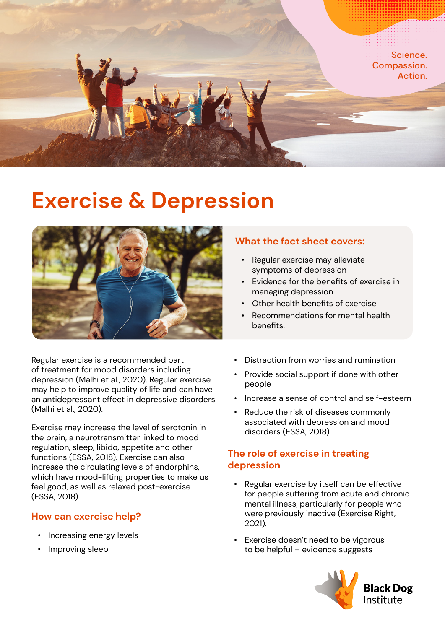

# **Exercise & Depression**



Regular exercise is a recommended part of treatment for mood disorders including depression (Malhi et al., 2020). Regular exercise may help to improve quality of life and can have an antidepressant effect in depressive disorders (Malhi et al., 2020).

Exercise may increase the level of serotonin in the brain, a neurotransmitter linked to mood regulation, sleep, libido, appetite and other functions (ESSA, 2018). Exercise can also increase the circulating levels of endorphins, which have mood-lifting properties to make us feel good, as well as relaxed post-exercise (ESSA, 2018).

### **How can exercise help?**

- Increasing energy levels
- Improving sleep

## **What the fact sheet covers:**

- Regular exercise may alleviate symptoms of depression
- Evidence for the benefits of exercise in managing depression
- Other health benefits of exercise
- Recommendations for mental health benefits.
- Distraction from worries and rumination
- Provide social support if done with other people
- Increase a sense of control and self-esteem
- Reduce the risk of diseases commonly associated with depression and mood disorders (ESSA, 2018).

## **The role of exercise in treating depression**

- Regular exercise by itself can be effective for people suffering from acute and chronic mental illness, particularly for people who were previously inactive (Exercise Right, 2021).
- Exercise doesn't need to be vigorous to be helpful – evidence suggests

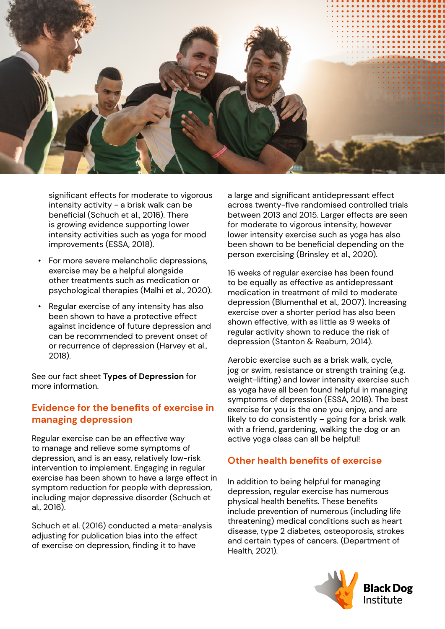

significant effects for moderate to vigorous intensity activity - a brisk walk can be beneficial (Schuch et al., 2016). There is growing evidence supporting lower intensity activities such as yoga for mood improvements (ESSA, 2018).

- For more severe melancholic depressions, exercise may be a helpful alongside other treatments such as medication or psychological therapies (Malhi et al., 2020).
- Regular exercise of any intensity has also been shown to have a protective effect against incidence of future depression and can be recommended to prevent onset of or recurrence of depression (Harvey et al., 2018).

See our fact sheet **Types of Depression** for more information.

### **Evidence for the benefits of exercise in managing depression**

Regular exercise can be an effective way to manage and relieve some symptoms of depression, and is an easy, relatively low-risk intervention to implement. Engaging in regular exercise has been shown to have a large effect in symptom reduction for people with depression, including major depressive disorder (Schuch et al., 2016).

Schuch et al. (2016) conducted a meta-analysis adjusting for publication bias into the effect of exercise on depression, finding it to have

a large and significant antidepressant effect across twenty-five randomised controlled trials between 2013 and 2015. Larger effects are seen for moderate to vigorous intensity, however lower intensity exercise such as yoga has also been shown to be beneficial depending on the person exercising (Brinsley et al., 2020).

16 weeks of regular exercise has been found to be equally as effective as antidepressant medication in treatment of mild to moderate depression (Blumenthal et al., 2007). Increasing exercise over a shorter period has also been shown effective, with as little as 9 weeks of regular activity shown to reduce the risk of depression (Stanton & Reaburn, 2014).

Aerobic exercise such as a brisk walk, cycle, jog or swim, resistance or strength training (e.g. weight-lifting) and lower intensity exercise such as yoga have all been found helpful in managing symptoms of depression (ESSA, 2018). The best exercise for you is the one you enjoy, and are likely to do consistently – going for a brisk walk with a friend, gardening, walking the dog or an active yoga class can all be helpful!

### **Other health benefits of exercise**

In addition to being helpful for managing depression, regular exercise has numerous physical health benefits. These benefits include prevention of numerous (including life threatening) medical conditions such as heart disease, type 2 diabetes, osteoporosis, strokes and certain types of cancers. (Department of Health, 2021).